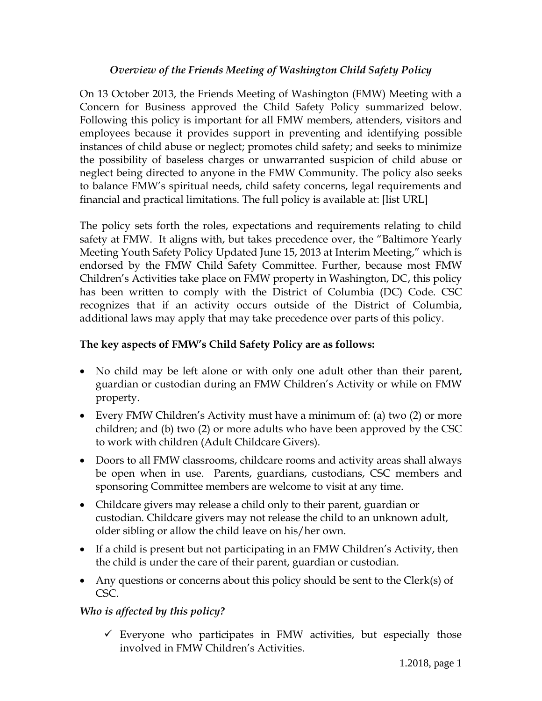## *Overview of the Friends Meeting of Washington Child Safety Policy*

On 13 October 2013, the Friends Meeting of Washington (FMW) Meeting with a Concern for Business approved the Child Safety Policy summarized below. Following this policy is important for all FMW members, attenders, visitors and employees because it provides support in preventing and identifying possible instances of child abuse or neglect; promotes child safety; and seeks to minimize the possibility of baseless charges or unwarranted suspicion of child abuse or neglect being directed to anyone in the FMW Community. The policy also seeks to balance FMW's spiritual needs, child safety concerns, legal requirements and financial and practical limitations. The full policy is available at: [list URL]

The policy sets forth the roles, expectations and requirements relating to child safety at FMW. It aligns with, but takes precedence over, the "Baltimore Yearly Meeting Youth Safety Policy Updated June 15, 2013 at Interim Meeting," which is endorsed by the FMW Child Safety Committee. Further, because most FMW Children's Activities take place on FMW property in Washington, DC, this policy has been written to comply with the District of Columbia (DC) Code. CSC recognizes that if an activity occurs outside of the District of Columbia, additional laws may apply that may take precedence over parts of this policy.

### **The key aspects of FMW's Child Safety Policy are as follows:**

- No child may be left alone or with only one adult other than their parent, guardian or custodian during an FMW Children's Activity or while on FMW property.
- Every FMW Children's Activity must have a minimum of: (a) two (2) or more children; and (b) two (2) or more adults who have been approved by the CSC to work with children (Adult Childcare Givers).
- Doors to all FMW classrooms, childcare rooms and activity areas shall always be open when in use. Parents, guardians, custodians, CSC members and sponsoring Committee members are welcome to visit at any time.
- Childcare givers may release a child only to their parent, guardian or custodian. Childcare givers may not release the child to an unknown adult, older sibling or allow the child leave on his/her own.
- If a child is present but not participating in an FMW Children's Activity, then the child is under the care of their parent, guardian or custodian.
- Any questions or concerns about this policy should be sent to the Clerk(s) of CSC.

### *Who is affected by this policy?*

 $\checkmark$  Everyone who participates in FMW activities, but especially those involved in FMW Children's Activities.